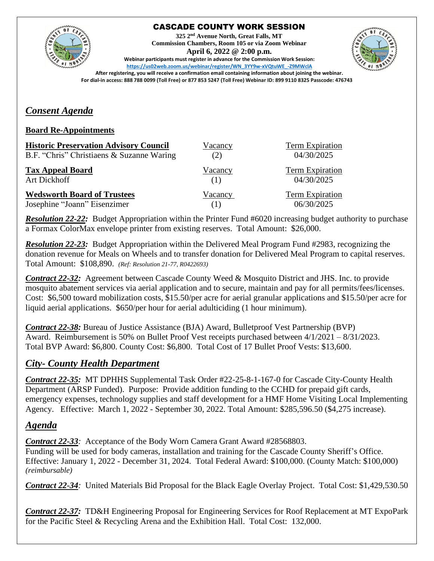

## CASCADE COUNTY WORK SESSION

**325 2nd Avenue North, Great Falls, MT Commission Chambers, Room 105 or via Zoom Webinar April 6, 2022 @ 2:00 p.m. Webinar participants must register in advance for the Commission Work Session:** 



**[https://us02web.zoom.us/webinar/register/WN\\_3YY9w-xVQtuWE\\_-Z9MWclA](https://us02web.zoom.us/webinar/register/WN_3YY9w-xVQtuWE_-Z9MWclA) After registering, you will receive a confirmation email containing information about joining the webinar.** 

#### **For dial-in access: 888 788 0099 (Toll Free) or 877 853 5247 (Toll Free) Webinar ID: 899 9110 8325 Passcode: 476743**

## *Consent Agenda*

#### **Board Re-Appointments**

| <b>Historic Preservation Advisory Council</b> | Vacancy | Term Expiration        |
|-----------------------------------------------|---------|------------------------|
| B.F. "Chris" Christiaens & Suzanne Waring     | (2)     | 04/30/2025             |
| <b>Tax Appeal Board</b>                       | Vacancy | <b>Term Expiration</b> |
| Art Dickhoff                                  | (1)     | 04/30/2025             |
| <b>Wedsworth Board of Trustees</b>            | Vacancy | <b>Term Expiration</b> |
| Josephine "Joann" Eisenzimer                  | (1)     | 06/30/2025             |

*Resolution 22-22:* Budget Appropriation within the Printer Fund #6020 increasing budget authority to purchase a Formax ColorMax envelope printer from existing reserves. Total Amount: \$26,000.

*Resolution 22-23:* Budget Appropriation within the Delivered Meal Program Fund #2983, recognizing the donation revenue for Meals on Wheels and to transfer donation for Delivered Meal Program to capital reserves. Total Amount: \$108,890. *(Ref: Resolution 21-77, R0422693)*

*Contract 22-32:* Agreement between Cascade County Weed & Mosquito District and JHS. Inc. to provide mosquito abatement services via aerial application and to secure, maintain and pay for all permits/fees/licenses. Cost: \$6,500 toward mobilization costs, \$15.50/per acre for aerial granular applications and \$15.50/per acre for liquid aerial applications. \$650/per hour for aerial adulticiding (1 hour minimum).

*Contract 22-38:* Bureau of Justice Assistance (BJA) Award, Bulletproof Vest Partnership (BVP) Award. Reimbursement is 50% on Bullet Proof Vest receipts purchased between 4/1/2021 – 8/31/2023. Total BVP Award: \$6,800. County Cost: \$6,800. Total Cost of 17 Bullet Proof Vests: \$13,600.

## *City- County Health Department*

*Contract 22-35:* MT DPHHS Supplemental Task Order #22-25-8-1-167-0 for Cascade City-County Health Department (ARSP Funded). Purpose: Provide addition funding to the CCHD for prepaid gift cards, emergency expenses, technology supplies and staff development for a HMF Home Visiting Local Implementing Agency. Effective: March 1, 2022 - September 30, 2022. Total Amount: \$285,596.50 (\$4,275 increase).

## *Agenda*

*Contract 22-33:* Acceptance of the Body Worn Camera Grant Award #28568803. Funding will be used for body cameras, installation and training for the Cascade County Sheriff's Office. Effective: January 1, 2022 - December 31, 2024. Total Federal Award: \$100,000. (County Match: \$100,000) *(reimbursable)*

*Contract 22-34:* United Materials Bid Proposal for the Black Eagle Overlay Project. Total Cost: \$1,429,530.50

*Contract 22-37:* TD&H Engineering Proposal for Engineering Services for Roof Replacement at MT ExpoPark for the Pacific Steel & Recycling Arena and the Exhibition Hall. Total Cost: 132,000.